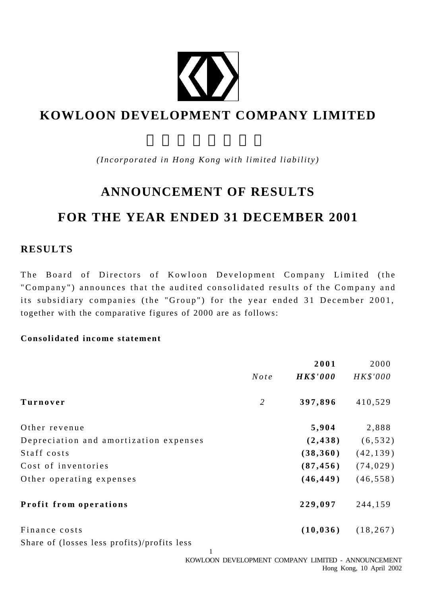

# **KOWLOON DEVELOPMENT COMPANY LIMITED**

*(Incorporated in Hong Kong with limited liability)*

# **ANNOUNCEMENT OF RESULTS FOR THE YEAR ENDED 31 DECEMBER 2001**

## **RESULTS**

The Board of Directors of Kowloon Development Company Limited (the "Company") announces that the audited consolidated results of the Company and its subsidiary companies (the "Group") for the year ended 31 December 2001, together with the comparative figures of 2000 are as follows:

#### **Consolidated income statement**

|                                             |                | 2001            | 2000      |
|---------------------------------------------|----------------|-----------------|-----------|
|                                             | Note           | <b>HK\$'000</b> | HK\$'000  |
| Turnover                                    | $\overline{2}$ | 397,896         | 410,529   |
| Other revenue                               |                | 5,904           | 2,888     |
| Depreciation and amortization expenses      |                | (2, 438)        | (6, 532)  |
| Staff costs                                 |                | (38,360)        | (42, 139) |
| Cost of inventories                         |                | (87, 456)       | (74, 029) |
| Other operating expenses                    |                | (46, 449)       | (46, 558) |
| Profit from operations                      |                | 229,097         | 244,159   |
| Finance costs                               |                | (10, 036)       | (18, 267) |
| Share of (losses less profits)/profits less |                |                 |           |

1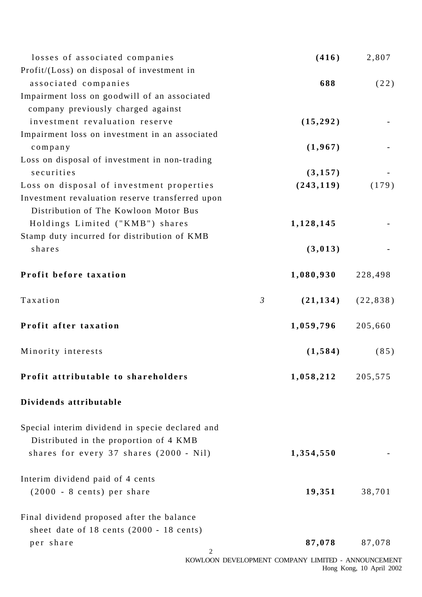| losses of associated companies                  |                | (416)                                              | 2,807                    |
|-------------------------------------------------|----------------|----------------------------------------------------|--------------------------|
| Profit/(Loss) on disposal of investment in      |                |                                                    |                          |
| associated companies                            |                | 688                                                | (22)                     |
| Impairment loss on goodwill of an associated    |                |                                                    |                          |
| company previously charged against              |                |                                                    |                          |
| investment revaluation reserve                  |                | (15, 292)                                          |                          |
| Impairment loss on investment in an associated  |                |                                                    |                          |
| company                                         |                | (1,967)                                            |                          |
| Loss on disposal of investment in non-trading   |                |                                                    |                          |
| securities                                      |                | (3, 157)                                           |                          |
| Loss on disposal of investment properties       |                | (243, 119)                                         | (179)                    |
| Investment revaluation reserve transferred upon |                |                                                    |                          |
| Distribution of The Kowloon Motor Bus           |                |                                                    |                          |
| Holdings Limited ("KMB") shares                 |                | 1,128,145                                          |                          |
| Stamp duty incurred for distribution of KMB     |                |                                                    |                          |
| shares                                          |                | (3, 013)                                           |                          |
| Profit before taxation                          |                | 1,080,930                                          | 228,498                  |
| Taxation                                        | $\mathfrak{Z}$ | (21, 134)                                          | (22, 838)                |
| Profit after taxation                           |                | 1,059,796                                          | 205,660                  |
| Minority interests                              |                | (1, 584)                                           | (85)                     |
| Profit attributable to shareholders             |                | 1,058,212                                          | 205,575                  |
| Dividends attributable                          |                |                                                    |                          |
| Special interim dividend in specie declared and |                |                                                    |                          |
| Distributed in the proportion of 4 KMB          |                |                                                    |                          |
| shares for every 37 shares (2000 - Nil)         |                | 1,354,550                                          |                          |
| Interim dividend paid of 4 cents                |                |                                                    |                          |
| (2000 - 8 cents) per share                      |                | 19,351                                             | 38,701                   |
| Final dividend proposed after the balance       |                |                                                    |                          |
| sheet date of $18$ cents (2000 - $18$ cents)    |                |                                                    |                          |
| per share                                       |                | 87,078                                             | 87,078                   |
| $\overline{c}$                                  |                | KOWLOON DEVELOPMENT COMPANY LIMITED - ANNOUNCEMENT |                          |
|                                                 |                |                                                    | Hong Kong, 10 April 2002 |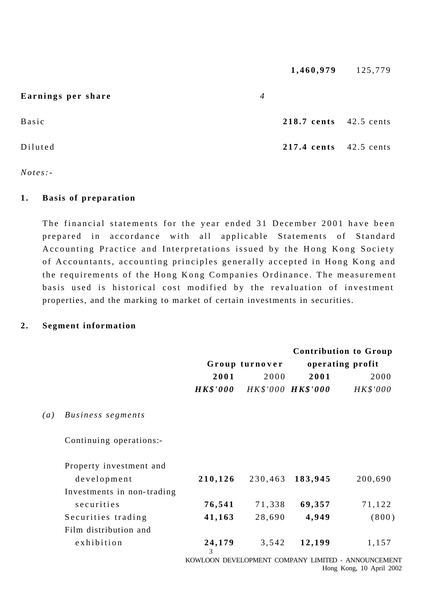|                    |                | 1,460,979              | 125,779 |
|--------------------|----------------|------------------------|---------|
| Earnings per share | $\overline{4}$ |                        |         |
| Basic              |                | 218.7 cents 42.5 cents |         |
| Diluted            |                | 217.4 cents 42.5 cents |         |

*Notes:-*

#### **1 . Basis of preparation**

The financial statements for the year ended 31 December 2001 have been prepared in accordance with all applicable Statements of Standard Accounting Practice and Interpretations issued by the Hong Kong Society of Accountants, accounting principles generally accepted in Hong Kong and the requirements of the Hong Kong Companies Ordinance. The measurement basis used is historical cost modified by the revaluation of investment properties, and the marking to market of certain investments in securities.

#### **2 . Segment information**

|                   |                            |                 | Group turnover      |         | <b>Contribution to Group</b><br>operating profit   |  |
|-------------------|----------------------------|-----------------|---------------------|---------|----------------------------------------------------|--|
|                   |                            | 2001            | 2000                | 2001    | 2000                                               |  |
|                   |                            | <b>HK\$'000</b> | $HK$'000$ $HK$'000$ |         | HK\$'000                                           |  |
| $\left( a\right)$ | Business segments          |                 |                     |         |                                                    |  |
|                   | Continuing operations:-    |                 |                     |         |                                                    |  |
|                   | Property investment and    |                 |                     |         |                                                    |  |
|                   | development                | 210,126         | 230,463             | 183,945 | 200,690                                            |  |
|                   | Investments in non-trading |                 |                     |         |                                                    |  |
|                   | securities                 | 76,541          | 71,338              | 69,357  | 71,122                                             |  |
|                   | Securities trading         | 41,163          | 28,690              | 4,949   | (800)                                              |  |
|                   | Film distribution and      |                 |                     |         |                                                    |  |
|                   | exhibition                 | 24,179<br>3     | 3,542               | 12,199  | 1,157                                              |  |
|                   |                            |                 |                     |         | KOWLOON DEVELOPMENT COMPANY LIMITED - ANNOUNCEMENT |  |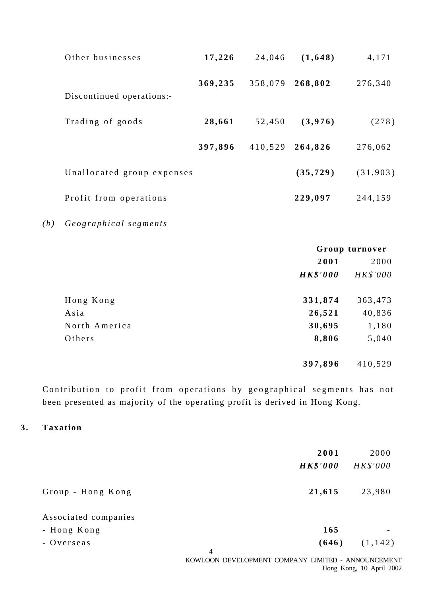| Other businesses           | 17,226  | 24,046  | (1,648)   | 4,171    |
|----------------------------|---------|---------|-----------|----------|
| Discontinued operations:-  | 369,235 | 358,079 | 268,802   | 276,340  |
| Trading of goods           | 28,661  | 52,450  | (3,976)   | (278)    |
|                            | 397,896 | 410,529 | 264,826   | 276,062  |
| Unallocated group expenses |         |         | (35, 729) | (31,903) |
| Profit from operations     |         |         | 229,097   | 244,159  |

*(b) Geographical segments*

|               | Group turnover  |          |
|---------------|-----------------|----------|
|               | 2001            | 2000     |
|               | <b>HK\$'000</b> | HK\$'000 |
| Hong Kong     | 331,874         | 363,473  |
| Asia          | 26,521          | 40,836   |
| North America | 30,695          | 1,180    |
| Others        | 8,806           | 5,040    |
|               | 397,896         | 410,529  |

Contribution to profit from operations by geographical segments has not been presented as majority of the operating profit is derived in Hong Kong.

### **3 . Taxation**

|                      | 2001                                                                 | 2000     |
|----------------------|----------------------------------------------------------------------|----------|
|                      | <b>HK\$'000</b>                                                      | HK\$'000 |
| Group - Hong Kong    | 21,615                                                               | 23,980   |
| Associated companies |                                                                      |          |
| - Hong Kong          | 165                                                                  |          |
| - Overseas           | (646)                                                                | (1, 142) |
|                      | $\overline{4}$<br>KOWLOON DEVELOPMENT COMPANY LIMITED - ANNOUNCEMENT |          |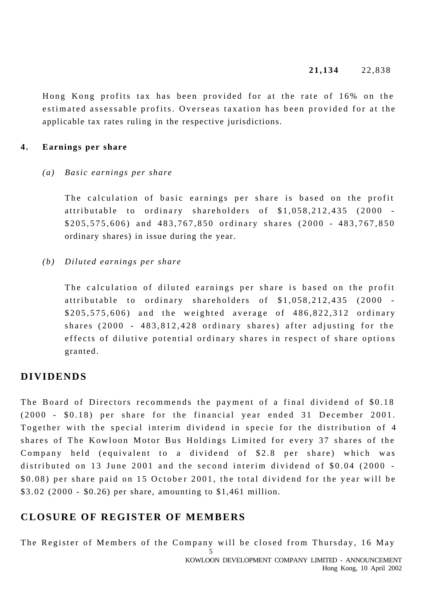Hong Kong profits tax has been provided for at the rate of 16% on the estimated assessable profits. Overseas taxation has been provided for at the applicable tax rates ruling in the respective jurisdictions.

#### **4 . Earnings per share**

#### *(a) Basic earnings per share*

The calculation of basic earnings per share is based on the profit attributable to ordinary shareholders of \$1,058,212,435 (2000 -\$205,575,606) and 483,767,850 ordinary shares (2000 - 483,767,850 ordinary shares) in issue during the year.

#### *(b) Diluted earnings per share*

The calculation of diluted earnings per share is based on the profit attributable to ordinary shareholders of \$1,058,212,435 (2000 - \$205,575,606) and the weighted average of 486,822,312 ordinary shares (2000 - 483,812,428 ordinary shares) after adjusting for the effects of dilutive potential ordinary shares in respect of share options granted.

## **DIVIDENDS**

The Board of Directors recommends the payment of a final dividend of \$0.18 (2000 - \$0.18) per share for the financial year ended 31 December 2001. Together with the special interim dividend in specie for the distribution of 4 shares of The Kowloon Motor Bus Holdings Limited for every 37 shares of the Company held (equivalent to a dividend of \$2.8 per share) which was distributed on 13 June 2001 and the second interim dividend of \$0.04 (2000 - \$0.08) per share paid on 15 October 2001, the total dividend for the year will be \$3.02 (2000 - \$0.26) per share, amounting to \$1,461 million.

## **CLOSURE OF REGISTER OF MEMBERS**

The Register of Members of the Company will be closed from Thursday, 16 May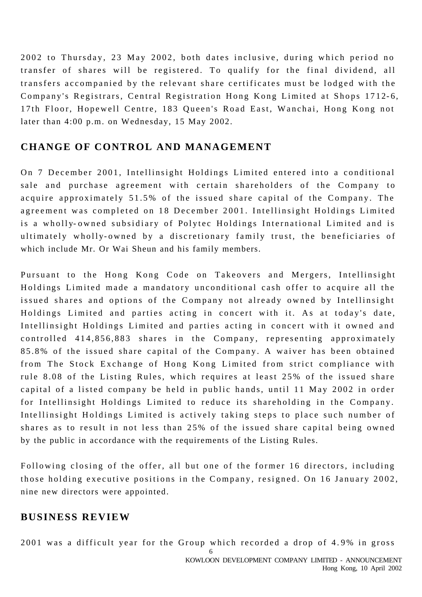2002 to Thursday, 23 May 2002, both dates inclusive, during which period no transfer of shares will be registered. To qualify for the final dividend, all transfers accompanied by the relevant share certificates must be lodged with the Company's Registrars, Central Registration Hong Kong Limited at Shops 1712-6, 17th Floor, Hopewell Centre, 183 Queen's Road East, Wanchai, Hong Kong not later than 4:00 p.m. on Wednesday, 15 May 2002.

## **CHANGE OF CONTROL AND MANAGEMENT**

On 7 December 2001, Intellinsight Holdings Limited entered into a conditional sale and purchase agreement with certain shareholders of the Company to acquire approximately 51.5% of the issued share capital of the Company. The agreement was completed on 18 December 2001. Intellinsight Holdings Limited is a wholly- owned subsidiary of Polytec Holdings International Limited and is ultimately wholly-owned by a discretionary family trust, the beneficiaries of which include Mr. Or Wai Sheun and his family members.

Pursuant to the Hong Kong Code on Takeovers and Mergers, Intellinsight Holdings Limited made a mandatory unconditional cash offer to acquire all the issued shares and options of the Company not already owned by Intellinsight Holdings Limited and parties acting in concert with it. As at today's date, Intellinsight Holdings Limited and parties acting in concert with it owned and controlled 414,856,883 shares in the Company, representing approximately 85.8% of the issued share capital of the Company. A waiver has been obtained from The Stock Exchange of Hong Kong Limited from strict compliance with rule 8.08 of the Listing Rules, which requires at least 25% of the issued share capital of a listed company be held in public hands, until 11 May 2002 in order for Intellinsight Holdings Limited to reduce its shareholding in the Company. Inte llinsight Holdings Limited is actively taking steps to place such number of shares as to result in not less than 25% of the issued share capital being owned by the public in accordance with the requirements of the Listing Rules.

Following closing of the offer, all but one of the former 16 directors, including those holding executive positions in the Company, resigned. On 16 January 2002, nine new directors were appointed.

## **BUSINESS REVIEW**

2001 was a difficult year for the Group which recorded a drop of 4. 9% in gross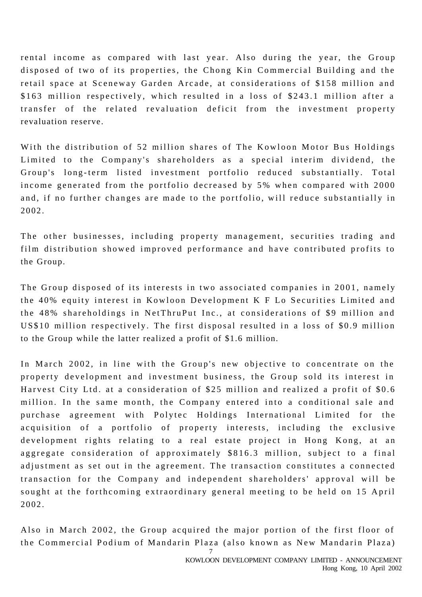rental income as compared with last year. Also during the year, the Group disposed of two of its properties, the Chong Kin Commercial Building and the retail space at Sceneway Garden Arcade, at considerations of \$158 million and \$163 million respectively, which resulted in a loss of \$243.1 million after a transfer of the related revaluation deficit from the investment property revaluation reserve.

With the distribution of 52 million shares of The Kowloon Motor Bus Holdings Limited to the Company's shareholders as a special interim dividend, the Group's long - term listed investment portfolio reduced substantially. Total income generated from the portfolio decreased by 5% when compared with 2000 and, if no further changes are made to the portfolio, will reduce substantially in 2002.

The other businesses, including property management, securities trading and film distribution showed improved performance and have contributed profits to the Group.

The Group disposed of its interests in two associate d companies in 2001, namely the 40% equity interest in Kowloon Development K F Lo Securities Limited and the 48% shareholdings in NetThruPut Inc., at considerations of \$9 million and US\$10 million respectively. The first disposal resulted in a loss of \$0.9 million to the Group while the latter realized a profit of \$1.6 million.

In March 2002, in line with the Group's new objective to concentrate on the property development and investment business, the Group sold its interest in Harvest City Ltd. at a consideration of \$25 million and realized a profit of \$0.6 million. In the same month, the Company entered into a conditional sale and purchase agreement with Polytec Holdings International Limited for the acquisition of a portfolio of property interests, including the exclusive development rights relating to a real estate project in Hong Kong, at an aggregate consideration of approximately \$816.3 million, subject to a final adjustment as set out in the agreement. The transaction constitutes a connected transaction for the Company and independent shareholders' approval will be sought at the forthcoming extraordinary general meeting to be held on 15 April 2002.

Also in March 2002, the Group acquired the major portion of the first floor of the Commercial Podium of Mandarin Plaza (also known as New Mandarin Plaza)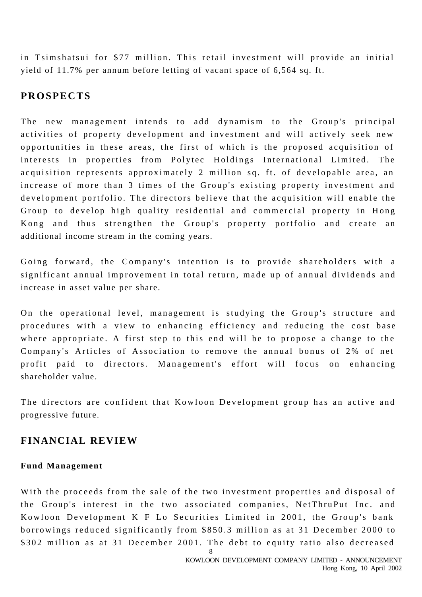in Tsimshatsui for \$77 million. This retail investment will provide an initial yield of 11.7% per annum before letting of vacant space of 6,564 sq. ft.

## **PROSPECTS**

The new management intends to add dynamism to the Group's principal activities of property development and investment and will actively seek new opportunities in these areas, the first of which is the proposed acquisition of interests in properties from Polytec Holdings International Limited. The acquisition represents approximately 2 million sq. ft. of developable area, an increase of more than 3 times of the Group's existing property investment and development portfolio. The directors believe that the acquisition will enable the Group to develop high quality residential and commercial property in Hong Kong and thus strengthen the Group's property portfolio and create an additional income stream in the coming years.

Going forward, the Company's intention is to provide shareholders with a signific ant annual improvement in total return, made up of annual dividends and increase in asset value per share.

On the operational level, management is studying the Group's structure and procedures with a view to enhancing efficiency and reducing the cost base where appropriate. A first step to this end will be to propose a change to the Company's Articles of Association to remove the annual bonus of 2% of net profit paid to directors. Management's effort will focus on enhancing shareholder value.

The directors are confident that Kowloon Development group has an active and progressive future.

## **FINANCIAL REVIEW**

#### **Fund Management**

With the proceeds from the sale of the two investment properties and disposal of the Group's interest in the two associated companies, NetThruPut Inc. and Kowloon Development K F Lo Securities Limited in 2001, the Group's bank borrowings reduced significantly from \$850.3 million as at 31 December 2000 to \$302 million as at 31 December 2001. The debt to equity ratio also decreased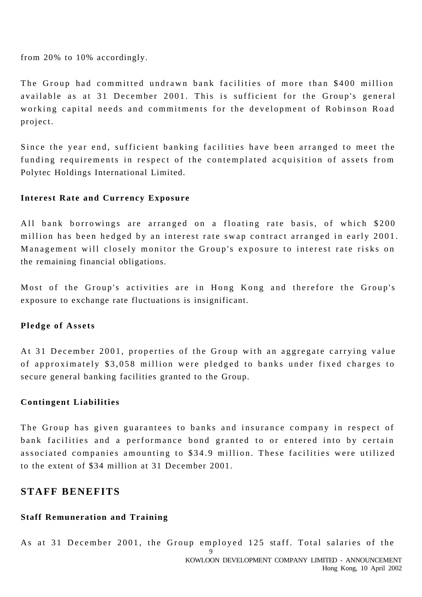from 20% to 10% accordingly.

The Group had committed undrawn bank facilities of more than \$400 million available as at 31 December 2001. This is sufficient for the Group's general working capital needs and commitments for the development of Robinson Road project.

Since the year end, sufficient banking facilities have been arranged to meet the funding requirements in respect of the contemplated acquisition of assets from Polytec Holdings International Limited.

### **Interest Rate and Currency Exposure**

All bank borrowings are arranged on a floating rate basis, of which \$200 million has been hedged by an interest rate swap contract arranged in early 2001. Management will closely monitor the Group's exposure to interest rate risks on the remaining financial obligations.

Most of the Group's activities are in Hong Kong and therefore the Group's exposure to exchange rate fluctuations is insignificant.

## **Pledge of Assets**

At 31 December 2001, properties of the Group with an aggregate carrying value of approximately \$3,058 million were pledged to banks under fixed charges to secure general banking facilities granted to the Group.

#### **Contingent Liabilities**

The Group has given guarantees to banks and insurance company in respect of bank facilities and a performance bond granted to or entered into by certain associated companies amounting to \$34.9 million. These facilities were utilized to the extent of \$34 million at 31 December 2001.

## **STAFF BENEFITS**

## **Staff Remuneration and Training**

9 KOWLOON DEVELOPMENT COMPANY LIMITED - ANNOUNCEMENT Hong Kong, 10 April 2002 As at 31 December 2001, the Group employed 125 staff. Total salaries of the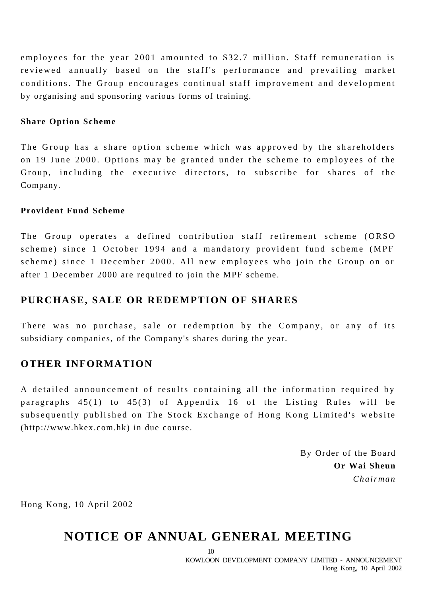employees for the year 2001 amounted to \$32.7 million. Staff remuneration is reviewed annually based on the staff's performance and prevailing market conditions. The Group encourages continual staff improvement and development by organising and sponsoring various forms of training.

#### **Share Option Scheme**

The Group has a share option scheme which was approved by the shareholders on 19 June 2000. Options may be granted under the scheme to employees of the Group, including the executive directors, to subscribe for shares of the Company.

#### **Provident Fund Scheme**

The Group operates a defined contribution staff retirement scheme (ORSO scheme) since 1 October 1994 and a mandatory provident fund scheme (MPF scheme) since 1 December 2000. All new employees who join the Group on or after 1 December 2000 are required to join the MPF scheme.

## **PURCHASE, SALE OR REDEMPTION OF SHARES**

There was no purchase, sale or redemption by the Company, or any of its subsidiary companies, of the Company's shares during the year.

## **OTHER INFORMATION**

A detailed announcement of results containing all the information required by paragraphs 45(1) to 45(3) of Appendix 16 of the Listing Rules will be subsequently published on The Stock Exchange of Hong Kong Limited's website (http://www.hkex.com.hk) in due course.

> By Order of the Board **Or Wai Sheun** *Chairman*

Hong Kong, 10 April 2002

## **NOTICE OF ANNUAL GENERAL MEETING**

10

KOWLOON DEVELOPMENT COMPANY LIMITED - ANNOUNCEMENT Hong Kong, 10 April 2002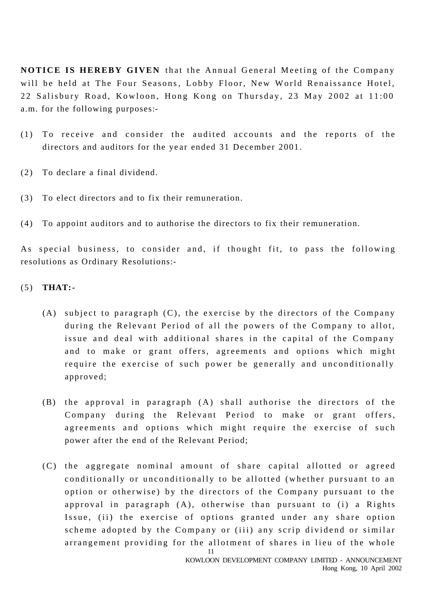**NOTICE IS HEREBY GIVEN** that the Annual General Meeting of the Company will be held at The Four Seasons, Lobby Floor, New World Renaissance Hotel, 22 Salisbury Road, Kowloon, Hong Kong on Thursday, 23 May 2002 at 11:00 a.m. for the following purposes:-

- (1) To receive and consider the audited accounts and the reports of the directors and auditors for the ye ar ended 31 December 2001.
- (2) To declare a final dividend.
- (3) To elect directors and to fix their remuneration.
- (4) To appoint auditors and to authorise the directors to fix their remuneration.

As special business, to consider and, if thought fit, to pass the following resolutions as Ordinary Resolutions:-

- (5) **THAT:-**
	- (A) subject to paragraph (C), the exercise by the directors of the Company during the Relevant Period of all the powers of the Company to allot, issue and deal with additional shares in the capital of the Company and to make or grant offers, agreements and options which might require the exercise of such power be generally and unconditionally approved;
	- (B) the approval in paragraph (A) shall authorise the directors of the Company during the Relevant Period to make or grant offers, agreements and options which might require the exercise of such power after the end of the Relevant Period;
	- 11 (C) the aggregate nominal amount of share capital allotted or agreed conditionally or unconditionally to be allotted (whether pursuant to an option or otherwise) by the directors of the Company pursuant to the approval in paragraph (A), otherwise than pursuant to (i) a Rights Issue, (ii) the exercise of options granted under any share option scheme adopted by the Company or (iii) any scrip dividend or similar arrangement providing for the allotment of shares in lieu of the whole

KOWLOON DEVELOPMENT COMPANY LIMITED - ANNOUNCEMENT Hong Kong, 10 April 2002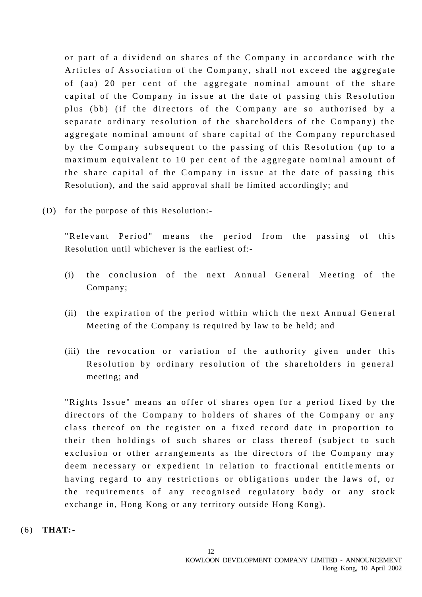or part of a dividend on shares of the Company in accordance with the Articles of Association of the Company, shall not exceed the aggregate of (aa) 20 per cent of the aggregate nominal amount of the share capital of the Company in issue at the date of passing this Resolution plus (bb) (if the directors of the Company are so authorised by a separate ordinary resolution of the shareholders of the Company) the aggregate nominal amount of share capital of the Company repurchased by the Company subsequent to the passing of this Resolution (up to a maximum equivalent to 10 per cent of the aggregate nominal amount of the share capital of the Company in issue at the date of passing this Resolution), and the said approval shall be limited accordingly; and

(D) for the purpose of this Resolution:-

"Relevant Period" means the period from the passing of this Resolution until whichever is the earliest of:-

- (i) the conclusion of the next Annual General Meeting of the Company;
- (ii) the expiration of the period within which the next Annual General Meeting of the Company is required by law to be held; and
- (iii) the revocation or variation of the authority given under this Resolution by ordinary resolution of the shareholders in general meeting; and

"Rights Issue" means an offer of shares open for a period fixed by the directors of the Company to holders of shares of the Company or any class thereof on the register on a fixed record date in proportion to their then holdings of such shares or class thereof (subject to such exclusion or other arrangements as the directors of the Company may deem necessary or expedient in relation to fractional entitle ments or having regard to any restrictions or obligations under the laws of, or the requirements of any recognised regulatory body or any stock exchange in, Hong Kong or any territory outside Hong Kong).

(6) **THAT:-**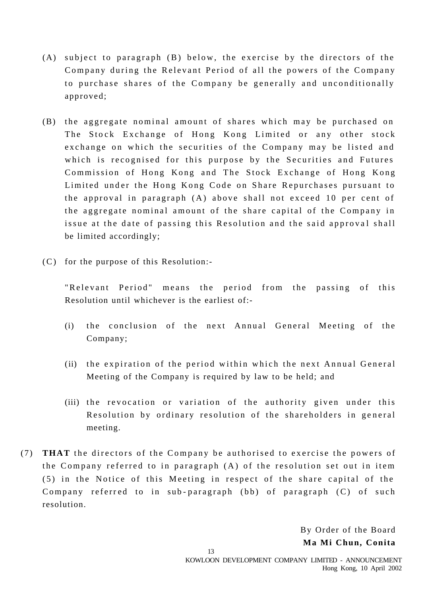- (A) subject to paragraph (B) below, the exercise by the directors of the Company during the Relevant Period of all the powers of the Company to purchase shares of the Company be generally and unconditionally approved;
- (B) the aggregate nominal amount of shares which may be purchased on The Stock Exchange of Hong Kong Limited or any other stock exchange on which the securities of the Company may be listed and which is recognised for this purpose by the Securities and Futures Commission of Hong Kong and The Stock Exchange of Hong Kong Limited under the Hong Kong Code on Share Repurchases pursuant to the approval in paragraph (A) above shall not exceed 10 per cent of the aggregate nominal amount of the share capital of the Company in issue at the date of passing this Resolution and the said approval shall be limited accordingly;
- (C) for the purpose of this Resolution:-

"Relevant Period" means the period from the passing of this Resolution until whichever is the earliest of:-

- (i) the conclusion of the next Annual General Meeting of the Company;
- (ii) the expiration of the period within which the next Annual General Meeting of the Company is required by law to be held; and
- (iii) the revocation or variation of the authority given under this Resolution by ordinary resolution of the shareholders in general meeting.
- (7) **THAT** the directors of the Company be authorised to exercise the powers of the Company referred to in paragraph (A) of the resolution set out in item (5) in the Notice of this Meeting in respect of the share capital of the Company referred to in sub-paragraph (bb) of paragraph (C) of such resolution.

By Order of the Board **Ma Mi Chun, Conita**

13